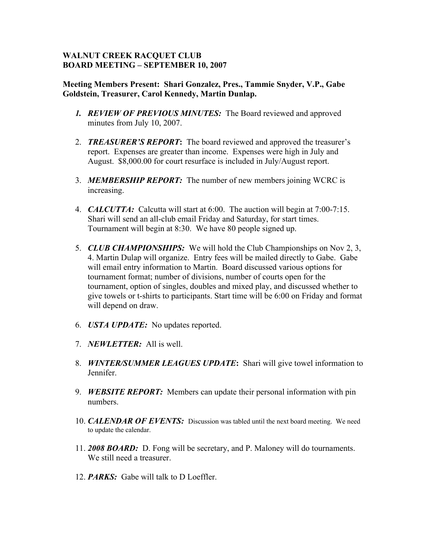## **WALNUT CREEK RACQUET CLUB BOARD MEETING – SEPTEMBER 10, 2007**

## **Meeting Members Present: Shari Gonzalez, Pres., Tammie Snyder, V.P., Gabe Goldstein, Treasurer, Carol Kennedy, Martin Dunlap.**

- *1. REVIEW OF PREVIOUS MINUTES:* The Board reviewed and approved minutes from July 10, 2007.
- 2. *TREASURER'S REPORT***:** The board reviewed and approved the treasurer's report. Expenses are greater than income. Expenses were high in July and August. \$8,000.00 for court resurface is included in July/August report.
- 3. *MEMBERSHIP REPORT:* The number of new members joining WCRC is increasing.
- 4. *CALCUTTA:* Calcutta will start at 6:00. The auction will begin at 7:00-7:15. Shari will send an all-club email Friday and Saturday, for start times. Tournament will begin at 8:30. We have 80 people signed up.
- 5. *CLUB CHAMPIONSHIPS:* We will hold the Club Championships on Nov 2, 3, 4. Martin Dulap will organize. Entry fees will be mailed directly to Gabe. Gabe will email entry information to Martin. Board discussed various options for tournament format; number of divisions, number of courts open for the tournament, option of singles, doubles and mixed play, and discussed whether to give towels or t-shirts to participants. Start time will be 6:00 on Friday and format will depend on draw.
- 6. *USTA UPDATE:* No updates reported.
- 7. *NEWLETTER:* All is well.
- 8. *WINTER/SUMMER LEAGUES UPDATE***:** Shari will give towel information to Jennifer.
- 9. *WEBSITE REPORT:* Members can update their personal information with pin numbers.
- 10. *CALENDAR OF EVENTS:* Discussion was tabled until the next board meeting. We need to update the calendar.
- 11. *2008 BOARD:* D. Fong will be secretary, and P. Maloney will do tournaments. We still need a treasurer.
- 12. *PARKS:* Gabe will talk to D Loeffler.